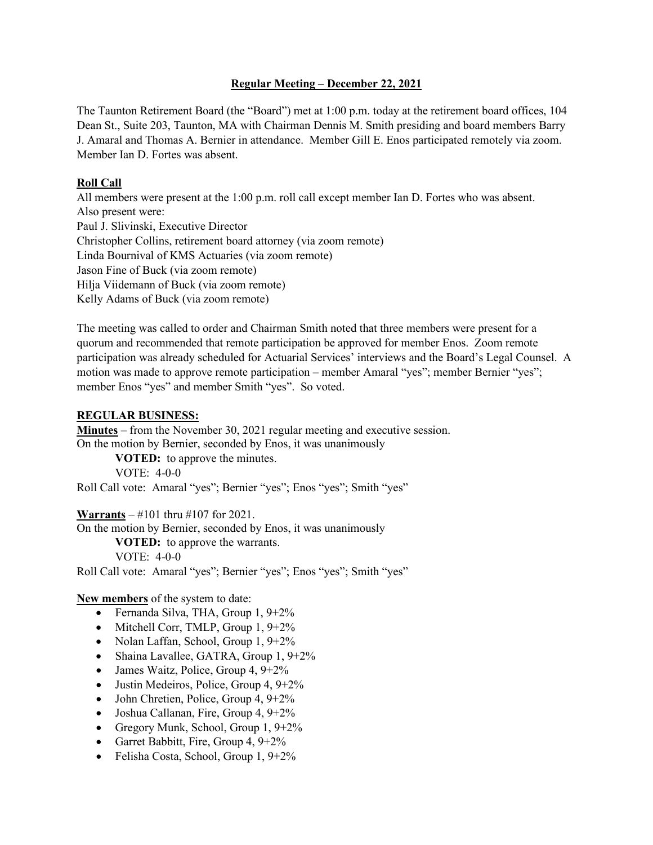### **Regular Meeting – December 22, 2021**

The Taunton Retirement Board (the "Board") met at 1:00 p.m. today at the retirement board offices, 104 Dean St., Suite 203, Taunton, MA with Chairman Dennis M. Smith presiding and board members Barry J. Amaral and Thomas A. Bernier in attendance. Member Gill E. Enos participated remotely via zoom. Member Ian D. Fortes was absent.

## **Roll Call**

All members were present at the 1:00 p.m. roll call except member Ian D. Fortes who was absent. Also present were: Paul J. Slivinski, Executive Director Christopher Collins, retirement board attorney (via zoom remote) Linda Bournival of KMS Actuaries (via zoom remote) Jason Fine of Buck (via zoom remote) Hilja Viidemann of Buck (via zoom remote) Kelly Adams of Buck (via zoom remote)

The meeting was called to order and Chairman Smith noted that three members were present for a quorum and recommended that remote participation be approved for member Enos. Zoom remote participation was already scheduled for Actuarial Services' interviews and the Board's Legal Counsel. A motion was made to approve remote participation – member Amaral "yes"; member Bernier "yes"; member Enos "yes" and member Smith "yes". So voted.

## **REGULAR BUSINESS:**

**Minutes** – from the November 30, 2021 regular meeting and executive session. On the motion by Bernier, seconded by Enos, it was unanimously

**VOTED:** to approve the minutes. VOTE: 4-0-0

Roll Call vote: Amaral "yes"; Bernier "yes"; Enos "yes"; Smith "yes"

# **Warrants** – #101 thru #107 for 2021.

On the motion by Bernier, seconded by Enos, it was unanimously

**VOTED:** to approve the warrants. VOTE: 4-0-0

Roll Call vote: Amaral "yes"; Bernier "yes"; Enos "yes"; Smith "yes"

# **New members** of the system to date:

- Fernanda Silva, THA, Group 1, 9+2%
- Mitchell Corr, TMLP, Group 1, 9+2%
- Nolan Laffan, School, Group 1, 9+2%
- Shaina Lavallee, GATRA, Group 1, 9+2%
- James Waitz, Police, Group 4,  $9+2\%$
- Justin Medeiros, Police, Group 4,  $9+2\%$
- John Chretien, Police, Group 4, 9+2%
- Joshua Callanan, Fire, Group 4, 9+2%
- Gregory Munk, School, Group 1, 9+2%
- Garret Babbitt, Fire, Group 4, 9+2%
- Felisha Costa, School, Group 1, 9+2%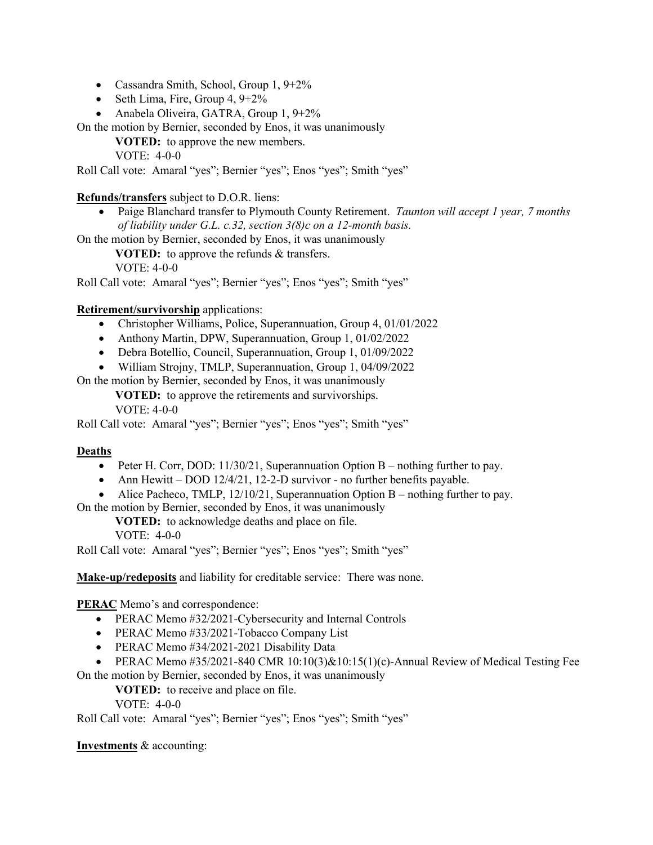- Cassandra Smith, School, Group 1, 9+2%
- Seth Lima, Fire, Group 4, 9+2%
- Anabela Oliveira, GATRA, Group 1, 9+2%

On the motion by Bernier, seconded by Enos, it was unanimously

**VOTED:** to approve the new members.

VOTE: 4-0-0

Roll Call vote: Amaral "yes"; Bernier "yes"; Enos "yes"; Smith "yes"

## **Refunds/transfers** subject to D.O.R. liens:

• Paige Blanchard transfer to Plymouth County Retirement. *Taunton will accept 1 year, 7 months of liability under G.L. c.32, section 3(8)c on a 12-month basis.*

On the motion by Bernier, seconded by Enos, it was unanimously

**VOTED:** to approve the refunds & transfers.

VOTE: 4-0-0

Roll Call vote: Amaral "yes"; Bernier "yes"; Enos "yes"; Smith "yes"

## **Retirement/survivorship** applications:

- Christopher Williams, Police, Superannuation, Group 4, 01/01/2022
- Anthony Martin, DPW, Superannuation, Group 1, 01/02/2022
- Debra Botellio, Council, Superannuation, Group 1, 01/09/2022
- William Strojny, TMLP, Superannuation, Group 1, 04/09/2022

On the motion by Bernier, seconded by Enos, it was unanimously

**VOTED:** to approve the retirements and survivorships. VOTE: 4-0-0

Roll Call vote: Amaral "yes"; Bernier "yes"; Enos "yes"; Smith "yes"

### **Deaths**

- Peter H. Corr, DOD:  $11/30/21$ , Superannuation Option B nothing further to pay.
- Ann Hewitt DOD 12/4/21, 12-2-D survivor no further benefits payable.
- Alice Pacheco, TMLP,  $12/10/21$ , Superannuation Option B nothing further to pay.

On the motion by Bernier, seconded by Enos, it was unanimously

**VOTED:** to acknowledge deaths and place on file.

VOTE: 4-0-0

Roll Call vote: Amaral "yes"; Bernier "yes"; Enos "yes"; Smith "yes"

**Make-up/redeposits** and liability for creditable service: There was none.

**PERAC** Memo's and correspondence:

- PERAC Memo #32/2021-Cybersecurity and Internal Controls
- PERAC Memo #33/2021-Tobacco Company List
- PERAC Memo #34/2021-2021 Disability Data
- PERAC Memo #35/2021-840 CMR 10:10(3)&10:15(1)(c)-Annual Review of Medical Testing Fee On the motion by Bernier, seconded by Enos, it was unanimously

**VOTED:** to receive and place on file.

VOTE: 4-0-0

Roll Call vote: Amaral "yes"; Bernier "yes"; Enos "yes"; Smith "yes"

**Investments** & accounting: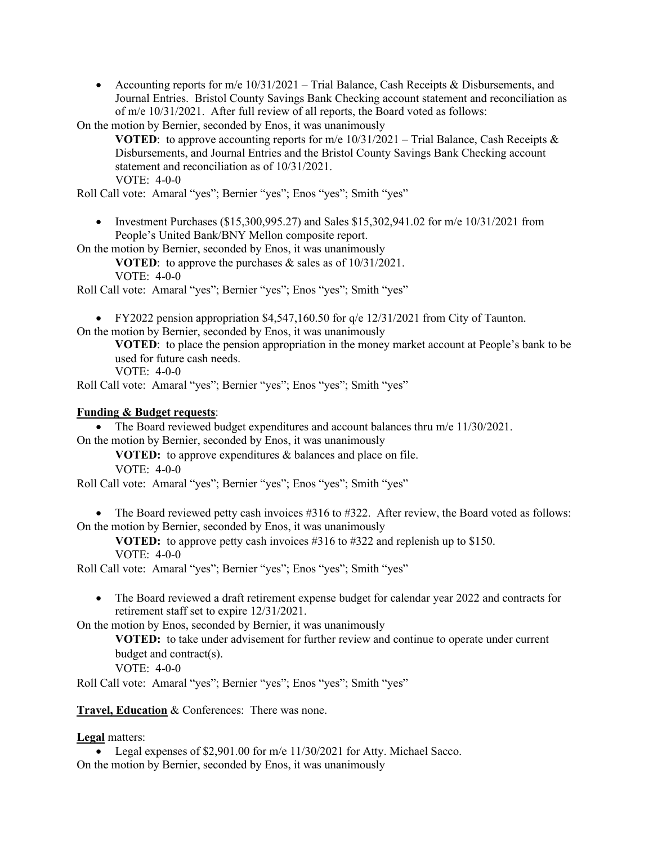• Accounting reports for m/e 10/31/2021 – Trial Balance, Cash Receipts & Disbursements, and Journal Entries. Bristol County Savings Bank Checking account statement and reconciliation as of m/e 10/31/2021. After full review of all reports, the Board voted as follows:

On the motion by Bernier, seconded by Enos, it was unanimously

**VOTED:** to approve accounting reports for m/e  $10/31/2021$  – Trial Balance, Cash Receipts & Disbursements, and Journal Entries and the Bristol County Savings Bank Checking account statement and reconciliation as of 10/31/2021.

VOTE: 4-0-0

Roll Call vote: Amaral "yes"; Bernier "yes"; Enos "yes"; Smith "yes"

• Investment Purchases (\$15,300,995.27) and Sales \$15,302,941.02 for m/e 10/31/2021 from People's United Bank/BNY Mellon composite report.

On the motion by Bernier, seconded by Enos, it was unanimously

**VOTED**: to approve the purchases & sales as of 10/31/2021.

VOTE: 4-0-0

Roll Call vote: Amaral "yes"; Bernier "yes"; Enos "yes"; Smith "yes"

• FY2022 pension appropriation \$4,547,160.50 for  $q/e$  12/31/2021 from City of Taunton.

On the motion by Bernier, seconded by Enos, it was unanimously

**VOTED**: to place the pension appropriation in the money market account at People's bank to be used for future cash needs.

VOTE: 4-0-0

Roll Call vote: Amaral "yes"; Bernier "yes"; Enos "yes"; Smith "yes"

#### **Funding & Budget requests**:

• The Board reviewed budget expenditures and account balances thru m/e 11/30/2021. On the motion by Bernier, seconded by Enos, it was unanimously

**VOTED:** to approve expenditures & balances and place on file.

VOTE: 4-0-0

Roll Call vote: Amaral "yes"; Bernier "yes"; Enos "yes"; Smith "yes"

• The Board reviewed petty cash invoices #316 to #322. After review, the Board voted as follows: On the motion by Bernier, seconded by Enos, it was unanimously

**VOTED:** to approve petty cash invoices #316 to #322 and replenish up to \$150. VOTE: 4-0-0

Roll Call vote: Amaral "yes"; Bernier "yes"; Enos "yes"; Smith "yes"

• The Board reviewed a draft retirement expense budget for calendar year 2022 and contracts for retirement staff set to expire 12/31/2021.

On the motion by Enos, seconded by Bernier, it was unanimously

**VOTED:** to take under advisement for further review and continue to operate under current budget and contract(s).

VOTE: 4-0-0

Roll Call vote: Amaral "yes"; Bernier "yes"; Enos "yes"; Smith "yes"

**Travel, Education** & Conferences: There was none.

**Legal** matters:

• Legal expenses of \$2,901.00 for m/e 11/30/2021 for Atty. Michael Sacco. On the motion by Bernier, seconded by Enos, it was unanimously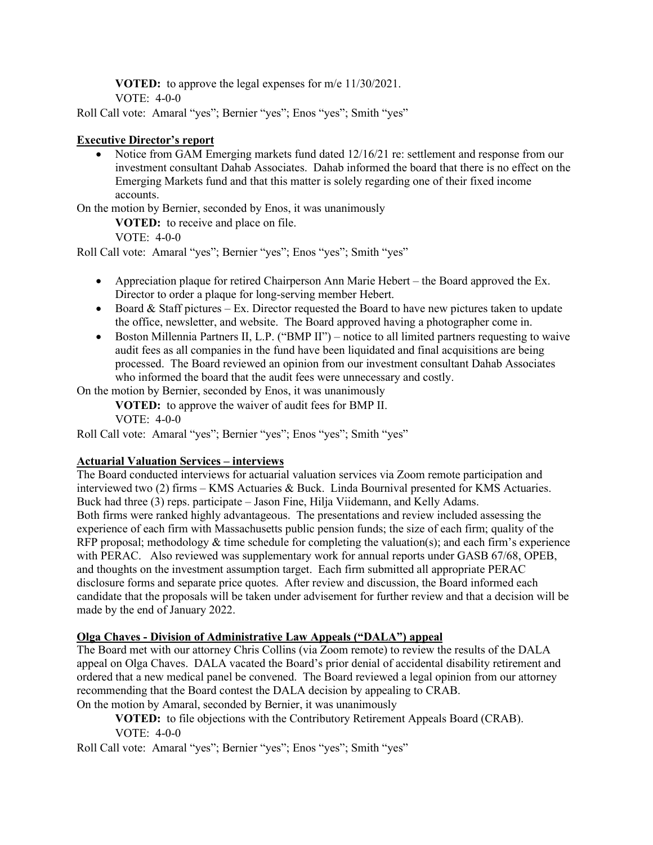**VOTED:** to approve the legal expenses for m/e 11/30/2021. VOTE: 4-0-0

Roll Call vote: Amaral "yes"; Bernier "yes"; Enos "yes"; Smith "yes"

## **Executive Director's report**

• Notice from GAM Emerging markets fund dated 12/16/21 re: settlement and response from our investment consultant Dahab Associates. Dahab informed the board that there is no effect on the Emerging Markets fund and that this matter is solely regarding one of their fixed income accounts.

On the motion by Bernier, seconded by Enos, it was unanimously

**VOTED:** to receive and place on file.

VOTE: 4-0-0

Roll Call vote: Amaral "yes"; Bernier "yes"; Enos "yes"; Smith "yes"

- Appreciation plaque for retired Chairperson Ann Marie Hebert the Board approved the Ex. Director to order a plaque for long-serving member Hebert.
- Board  $&$  Staff pictures Ex. Director requested the Board to have new pictures taken to update the office, newsletter, and website. The Board approved having a photographer come in.
- Boston Millennia Partners II, L.P. ("BMP II") notice to all limited partners requesting to waive audit fees as all companies in the fund have been liquidated and final acquisitions are being processed. The Board reviewed an opinion from our investment consultant Dahab Associates who informed the board that the audit fees were unnecessary and costly.

On the motion by Bernier, seconded by Enos, it was unanimously

**VOTED:** to approve the waiver of audit fees for BMP II. VOTE: 4-0-0

Roll Call vote: Amaral "yes"; Bernier "yes"; Enos "yes"; Smith "yes"

# **Actuarial Valuation Services – interviews**

The Board conducted interviews for actuarial valuation services via Zoom remote participation and interviewed two (2) firms – KMS Actuaries & Buck. Linda Bournival presented for KMS Actuaries. Buck had three (3) reps. participate – Jason Fine, Hilja Viidemann, and Kelly Adams. Both firms were ranked highly advantageous. The presentations and review included assessing the experience of each firm with Massachusetts public pension funds; the size of each firm; quality of the RFP proposal; methodology  $&$  time schedule for completing the valuation(s); and each firm's experience with PERAC. Also reviewed was supplementary work for annual reports under GASB 67/68, OPEB, and thoughts on the investment assumption target. Each firm submitted all appropriate PERAC disclosure forms and separate price quotes. After review and discussion, the Board informed each candidate that the proposals will be taken under advisement for further review and that a decision will be made by the end of January 2022.

# **Olga Chaves - Division of Administrative Law Appeals ("DALA") appeal**

The Board met with our attorney Chris Collins (via Zoom remote) to review the results of the DALA appeal on Olga Chaves. DALA vacated the Board's prior denial of accidental disability retirement and ordered that a new medical panel be convened. The Board reviewed a legal opinion from our attorney recommending that the Board contest the DALA decision by appealing to CRAB.

On the motion by Amaral, seconded by Bernier, it was unanimously

**VOTED:** to file objections with the Contributory Retirement Appeals Board (CRAB). VOTE: 4-0-0

Roll Call vote: Amaral "yes"; Bernier "yes"; Enos "yes"; Smith "yes"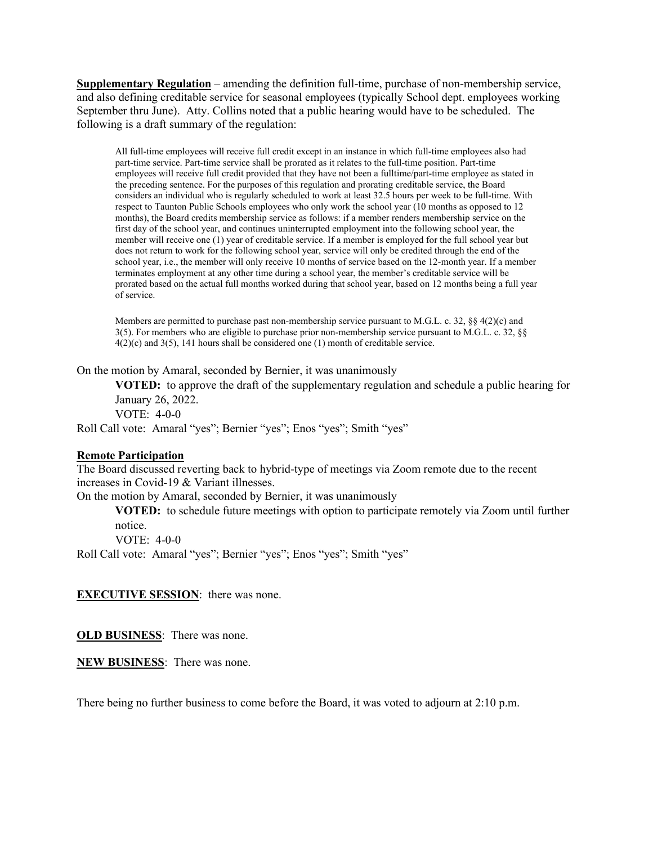**Supplementary Regulation** – amending the definition full-time, purchase of non-membership service, and also defining creditable service for seasonal employees (typically School dept. employees working September thru June). Atty. Collins noted that a public hearing would have to be scheduled. The following is a draft summary of the regulation:

All full-time employees will receive full credit except in an instance in which full-time employees also had part-time service. Part-time service shall be prorated as it relates to the full-time position. Part-time employees will receive full credit provided that they have not been a fulltime/part-time employee as stated in the preceding sentence. For the purposes of this regulation and prorating creditable service, the Board considers an individual who is regularly scheduled to work at least 32.5 hours per week to be full-time. With respect to Taunton Public Schools employees who only work the school year (10 months as opposed to 12 months), the Board credits membership service as follows: if a member renders membership service on the first day of the school year, and continues uninterrupted employment into the following school year, the member will receive one (1) year of creditable service. If a member is employed for the full school year but does not return to work for the following school year, service will only be credited through the end of the school year, i.e., the member will only receive 10 months of service based on the 12-month year. If a member terminates employment at any other time during a school year, the member's creditable service will be prorated based on the actual full months worked during that school year, based on 12 months being a full year of service.

Members are permitted to purchase past non-membership service pursuant to M.G.L. c. 32,  $\S$ § 4(2)(c) and 3(5). For members who are eligible to purchase prior non-membership service pursuant to M.G.L. c. 32, §§ 4(2)(c) and 3(5), 141 hours shall be considered one (1) month of creditable service.

On the motion by Amaral, seconded by Bernier, it was unanimously

**VOTED:** to approve the draft of the supplementary regulation and schedule a public hearing for January 26, 2022. VOTE: 4-0-0

Roll Call vote: Amaral "yes"; Bernier "yes"; Enos "yes"; Smith "yes"

#### **Remote Participation**

The Board discussed reverting back to hybrid-type of meetings via Zoom remote due to the recent increases in Covid-19 & Variant illnesses.

On the motion by Amaral, seconded by Bernier, it was unanimously

**VOTED:** to schedule future meetings with option to participate remotely via Zoom until further notice.

VOTE: 4-0-0

Roll Call vote: Amaral "yes"; Bernier "yes"; Enos "yes"; Smith "yes"

**EXECUTIVE SESSION**: there was none.

**OLD BUSINESS**: There was none.

**NEW BUSINESS**: There was none.

There being no further business to come before the Board, it was voted to adjourn at 2:10 p.m.